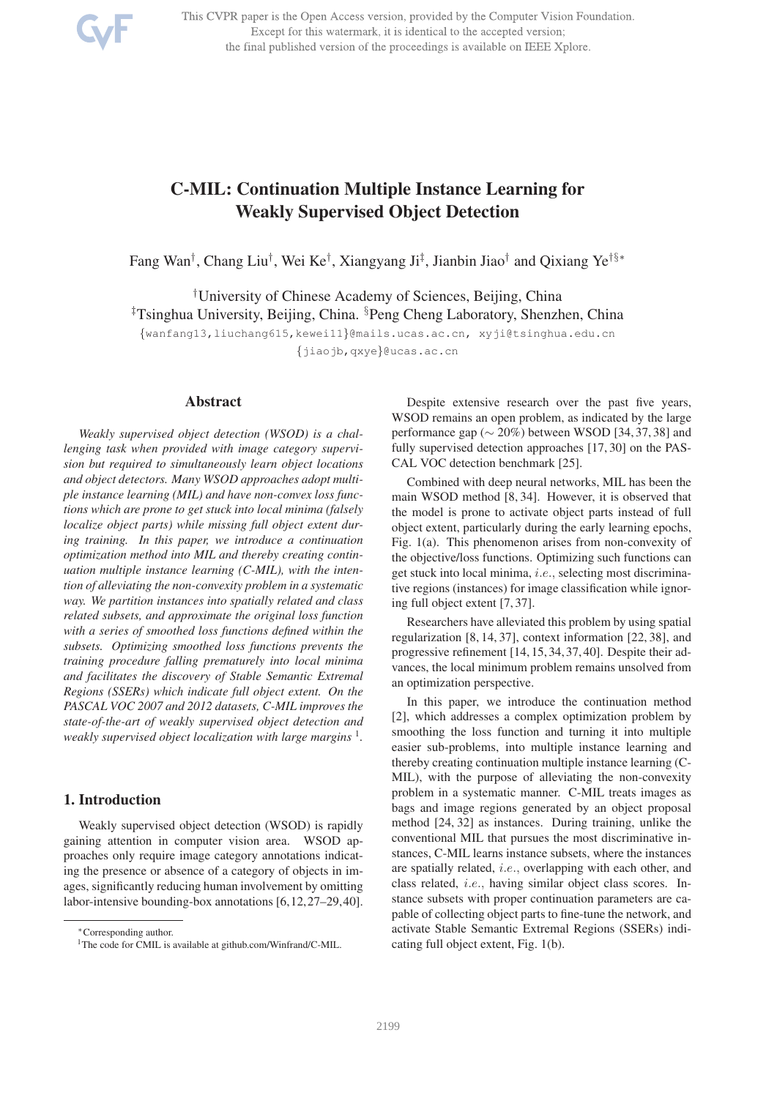

This CVPR paper is the Open Access version, provided by the Computer Vision Foundation. Except for this watermark, it is identical to the accepted version; the final published version of the proceedings is available on IEEE Xplore.

# C-MIL: Continuation Multiple Instance Learning for Weakly Supervised Object Detection

Fang Wan<sup>†</sup>, Chang Liu<sup>†</sup>, Wei Ke<sup>†</sup>, Xiangyang Ji<sup>‡</sup>, Jianbin Jiao<sup>†</sup> and Qixiang Ye<sup>†§</sup>\*

†University of Chinese Academy of Sciences, Beijing, China ‡Tsinghua University, Beijing, China. §Peng Cheng Laboratory, Shenzhen, China {wanfang13,liuchang615,kewei11}@mails.ucas.ac.cn, xyji@tsinghua.edu.cn

{jiaojb,qxye}@ucas.ac.cn

#### Abstract

*Weakly supervised object detection (WSOD) is a challenging task when provided with image category supervision but required to simultaneously learn object locations and object detectors. Many WSOD approaches adopt multiple instance learning (MIL) and have non-convex loss functions which are prone to get stuck into local minima (falsely localize object parts) while missing full object extent during training. In this paper, we introduce a continuation optimization method into MIL and thereby creating continuation multiple instance learning (C-MIL), with the intention of alleviating the non-convexity problem in a systematic way. We partition instances into spatially related and class related subsets, and approximate the original loss function with a series of smoothed loss functions defined within the subsets. Optimizing smoothed loss functions prevents the training procedure falling prematurely into local minima and facilitates the discovery of Stable Semantic Extremal Regions (SSERs) which indicate full object extent. On the PASCAL VOC 2007 and 2012 datasets, C-MIL improves the state-of-the-art of weakly supervised object detection and* weakly supervised object localization with large margins <sup>1</sup>.

## 1. Introduction

Weakly supervised object detection (WSOD) is rapidly gaining attention in computer vision area. WSOD approaches only require image category annotations indicating the presence or absence of a category of objects in images, significantly reducing human involvement by omitting labor-intensive bounding-box annotations [6,12,27–29,40].

Despite extensive research over the past five years, WSOD remains an open problem, as indicated by the large performance gap ( $\sim$  20%) between WSOD [34, 37, 38] and fully supervised detection approaches [17, 30] on the PAS-CAL VOC detection benchmark [25].

Combined with deep neural networks, MIL has been the main WSOD method [8, 34]. However, it is observed that the model is prone to activate object parts instead of full object extent, particularly during the early learning epochs, Fig. 1(a). This phenomenon arises from non-convexity of the objective/loss functions. Optimizing such functions can get stuck into local minima, i.e., selecting most discriminative regions (instances) for image classification while ignoring full object extent [7, 37].

Researchers have alleviated this problem by using spatial regularization [8, 14, 37], context information [22, 38], and progressive refinement [14, 15, 34, 37, 40]. Despite their advances, the local minimum problem remains unsolved from an optimization perspective.

In this paper, we introduce the continuation method [2], which addresses a complex optimization problem by smoothing the loss function and turning it into multiple easier sub-problems, into multiple instance learning and thereby creating continuation multiple instance learning (C-MIL), with the purpose of alleviating the non-convexity problem in a systematic manner. C-MIL treats images as bags and image regions generated by an object proposal method [24, 32] as instances. During training, unlike the conventional MIL that pursues the most discriminative instances, C-MIL learns instance subsets, where the instances are spatially related, i.e., overlapping with each other, and class related, i.e., having similar object class scores. Instance subsets with proper continuation parameters are capable of collecting object parts to fine-tune the network, and activate Stable Semantic Extremal Regions (SSERs) indicating full object extent, Fig. 1(b).

<sup>∗</sup>Corresponding author.

<sup>&</sup>lt;sup>1</sup>The code for CMIL is available at github.com/Winfrand/C-MIL.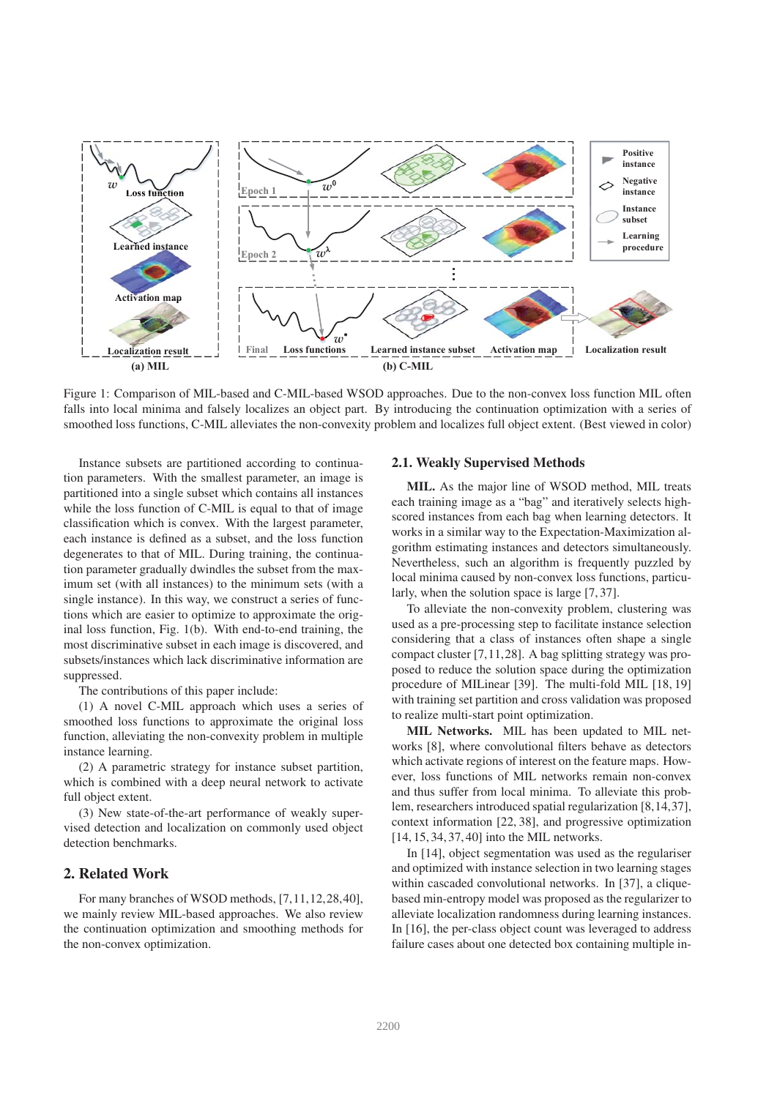

Figure 1: Comparison of MIL-based and C-MIL-based WSOD approaches. Due to the non-convex loss function MIL often falls into local minima and falsely localizes an object part. By introducing the continuation optimization with a series of smoothed loss functions, C-MIL alleviates the non-convexity problem and localizes full object extent. (Best viewed in color)

Instance subsets are partitioned according to continuation parameters. With the smallest parameter, an image is partitioned into a single subset which contains all instances while the loss function of C-MIL is equal to that of image classification which is convex. With the largest parameter, each instance is defined as a subset, and the loss function degenerates to that of MIL. During training, the continuation parameter gradually dwindles the subset from the maximum set (with all instances) to the minimum sets (with a single instance). In this way, we construct a series of functions which are easier to optimize to approximate the original loss function, Fig. 1(b). With end-to-end training, the most discriminative subset in each image is discovered, and subsets/instances which lack discriminative information are suppressed.

The contributions of this paper include:

(1) A novel C-MIL approach which uses a series of smoothed loss functions to approximate the original loss function, alleviating the non-convexity problem in multiple instance learning.

(2) A parametric strategy for instance subset partition, which is combined with a deep neural network to activate full object extent.

(3) New state-of-the-art performance of weakly supervised detection and localization on commonly used object detection benchmarks.

## 2. Related Work

For many branches of WSOD methods, [7,11,12,28,40], we mainly review MIL-based approaches. We also review the continuation optimization and smoothing methods for the non-convex optimization.

## 2.1. Weakly Supervised Methods

MIL. As the major line of WSOD method, MIL treats each training image as a "bag" and iteratively selects highscored instances from each bag when learning detectors. It works in a similar way to the Expectation-Maximization algorithm estimating instances and detectors simultaneously. Nevertheless, such an algorithm is frequently puzzled by local minima caused by non-convex loss functions, particularly, when the solution space is large [7, 37].

To alleviate the non-convexity problem, clustering was used as a pre-processing step to facilitate instance selection considering that a class of instances often shape a single compact cluster [7,11,28]. A bag splitting strategy was proposed to reduce the solution space during the optimization procedure of MILinear [39]. The multi-fold MIL [18, 19] with training set partition and cross validation was proposed to realize multi-start point optimization.

MIL Networks. MIL has been updated to MIL networks [8], where convolutional filters behave as detectors which activate regions of interest on the feature maps. However, loss functions of MIL networks remain non-convex and thus suffer from local minima. To alleviate this problem, researchers introduced spatial regularization [8,14,37], context information [22, 38], and progressive optimization [14, 15, 34, 37, 40] into the MIL networks.

In [14], object segmentation was used as the regulariser and optimized with instance selection in two learning stages within cascaded convolutional networks. In [37], a cliquebased min-entropy model was proposed as the regularizer to alleviate localization randomness during learning instances. In [16], the per-class object count was leveraged to address failure cases about one detected box containing multiple in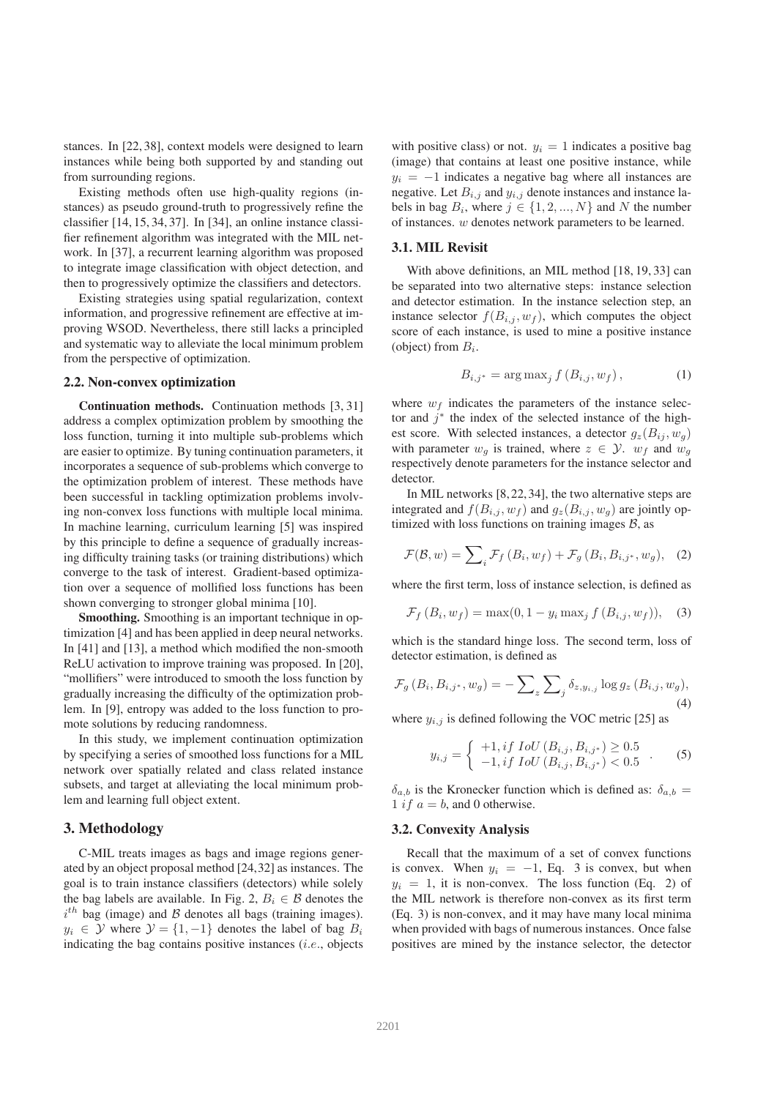stances. In [22, 38], context models were designed to learn instances while being both supported by and standing out from surrounding regions.

Existing methods often use high-quality regions (instances) as pseudo ground-truth to progressively refine the classifier [14, 15, 34, 37]. In [34], an online instance classifier refinement algorithm was integrated with the MIL network. In [37], a recurrent learning algorithm was proposed to integrate image classification with object detection, and then to progressively optimize the classifiers and detectors.

Existing strategies using spatial regularization, context information, and progressive refinement are effective at improving WSOD. Nevertheless, there still lacks a principled and systematic way to alleviate the local minimum problem from the perspective of optimization.

#### 2.2. Non-convex optimization

Continuation methods. Continuation methods [3, 31] address a complex optimization problem by smoothing the loss function, turning it into multiple sub-problems which are easier to optimize. By tuning continuation parameters, it incorporates a sequence of sub-problems which converge to the optimization problem of interest. These methods have been successful in tackling optimization problems involving non-convex loss functions with multiple local minima. In machine learning, curriculum learning [5] was inspired by this principle to define a sequence of gradually increasing difficulty training tasks (or training distributions) which converge to the task of interest. Gradient-based optimization over a sequence of mollified loss functions has been shown converging to stronger global minima [10].

Smoothing. Smoothing is an important technique in optimization [4] and has been applied in deep neural networks. In [41] and [13], a method which modified the non-smooth ReLU activation to improve training was proposed. In [20], "mollifiers" were introduced to smooth the loss function by gradually increasing the difficulty of the optimization problem. In [9], entropy was added to the loss function to promote solutions by reducing randomness.

In this study, we implement continuation optimization by specifying a series of smoothed loss functions for a MIL network over spatially related and class related instance subsets, and target at alleviating the local minimum problem and learning full object extent.

## 3. Methodology

C-MIL treats images as bags and image regions generated by an object proposal method [24,32] as instances. The goal is to train instance classifiers (detectors) while solely the bag labels are available. In Fig. 2,  $B_i \in \mathcal{B}$  denotes the  $i^{th}$  bag (image) and  $\beta$  denotes all bags (training images).  $y_i \in \mathcal{Y}$  where  $\mathcal{Y} = \{1, -1\}$  denotes the label of bag  $B_i$ indicating the bag contains positive instances  $(i.e.,$  objects

with positive class) or not.  $y_i = 1$  indicates a positive bag (image) that contains at least one positive instance, while  $y_i = -1$  indicates a negative bag where all instances are negative. Let  $B_{i,j}$  and  $y_{i,j}$  denote instances and instance labels in bag  $B_i$ , where  $j \in \{1, 2, ..., N\}$  and N the number of instances. w denotes network parameters to be learned.

#### 3.1. MIL Revisit

With above definitions, an MIL method [18, 19, 33] can be separated into two alternative steps: instance selection and detector estimation. In the instance selection step, an instance selector  $f(B_{i,j}, w_f)$ , which computes the object score of each instance, is used to mine a positive instance (object) from  $B_i$ .

$$
B_{i,j^*} = \arg \max_j f(B_{i,j}, w_f), \tag{1}
$$

where  $w_f$  indicates the parameters of the instance selector and  $j^*$  the index of the selected instance of the highest score. With selected instances, a detector  $g_z(B_{ij}, w_q)$ with parameter  $w_g$  is trained, where  $z \in \mathcal{Y}$ .  $w_f$  and  $w_g$ respectively denote parameters for the instance selector and detector.

In MIL networks [8, 22, 34], the two alternative steps are integrated and  $f(B_{i,j}, w_f)$  and  $g_z(B_{i,j}, w_g)$  are jointly optimized with loss functions on training images  $B$ , as

$$
\mathcal{F}(\mathcal{B}, w) = \sum_{i} \mathcal{F}_f(B_i, w_f) + \mathcal{F}_g(B_i, B_{i,j^*}, w_g), \quad (2)
$$

where the first term, loss of instance selection, is defined as

$$
\mathcal{F}_f(B_i, w_f) = \max(0, 1 - y_i \max_j f(B_{i,j}, w_f)), \quad (3)
$$

which is the standard hinge loss. The second term, loss of detector estimation, is defined as

$$
\mathcal{F}_g(B_i, B_{i,j^*}, w_g) = -\sum_{z} \sum_{j} \delta_{z, y_{i,j}} \log g_z(B_{i,j}, w_g),
$$
\n(4)

where  $y_{i,j}$  is defined following the VOC metric [25] as

$$
y_{i,j} = \begin{cases} +1, if \; IoU(B_{i,j}, B_{i,j^*}) \ge 0.5 \\ -1, if \; IoU(B_{i,j}, B_{i,j^*}) < 0.5 \end{cases} . \tag{5}
$$

 $\delta_{a,b}$  is the Kronecker function which is defined as:  $\delta_{a,b}$  = 1 if  $a = b$ , and 0 otherwise.

#### 3.2. Convexity Analysis

Recall that the maximum of a set of convex functions is convex. When  $y_i = -1$ , Eq. 3 is convex, but when  $y_i = 1$ , it is non-convex. The loss function (Eq. 2) of the MIL network is therefore non-convex as its first term (Eq. 3) is non-convex, and it may have many local minima when provided with bags of numerous instances. Once false positives are mined by the instance selector, the detector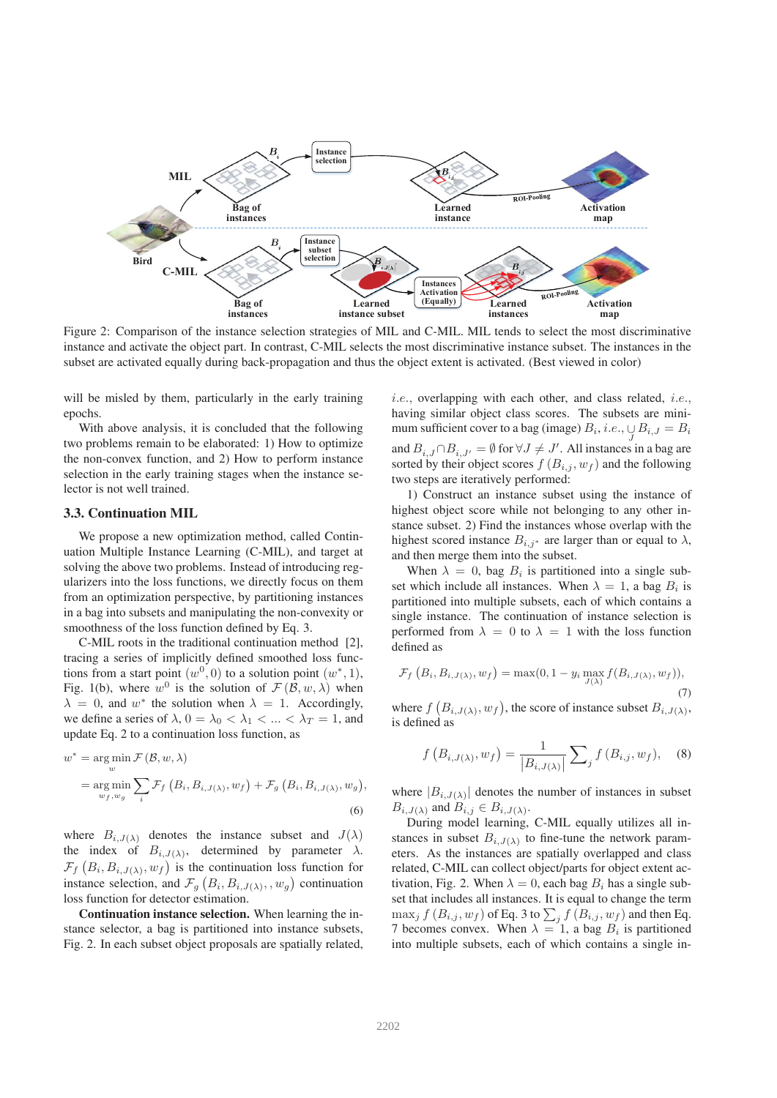

Figure 2: Comparison of the instance selection strategies of MIL and C-MIL. MIL tends to select the most discriminative instance and activate the object part. In contrast, C-MIL selects the most discriminative instance subset. The instances in the subset are activated equally during back-propagation and thus the object extent is activated. (Best viewed in color)

will be misled by them, particularly in the early training epochs.

With above analysis, it is concluded that the following two problems remain to be elaborated: 1) How to optimize the non-convex function, and 2) How to perform instance selection in the early training stages when the instance selector is not well trained.

#### 3.3. Continuation MIL

We propose a new optimization method, called Continuation Multiple Instance Learning (C-MIL), and target at solving the above two problems. Instead of introducing regularizers into the loss functions, we directly focus on them from an optimization perspective, by partitioning instances in a bag into subsets and manipulating the non-convexity or smoothness of the loss function defined by Eq. 3.

C-MIL roots in the traditional continuation method [2], tracing a series of implicitly defined smoothed loss functions from a start point  $(w^0, 0)$  to a solution point  $(w^*, 1)$ , Fig. 1(b), where  $w^0$  is the solution of  $\mathcal{F}(\mathcal{B}, w, \lambda)$  when  $\lambda = 0$ , and w<sup>\*</sup> the solution when  $\lambda = 1$ . Accordingly, we define a series of  $\lambda$ ,  $0 = \lambda_0 < \lambda_1 < ... < \lambda_T = 1$ , and update Eq. 2 to a continuation loss function, as

$$
w^* = \underset{w}{\arg\min} \mathcal{F}(\mathcal{B}, w, \lambda)
$$
  
= 
$$
\underset{w_f, w_g}{\arg\min} \sum_{i} \mathcal{F}_f(B_i, B_{i,J(\lambda)}, w_f) + \mathcal{F}_g(B_i, B_{i,J(\lambda)}, w_g),
$$
  
(6)

where  $B_{i,J(\lambda)}$  denotes the instance subset and  $J(\lambda)$ the index of  $B_{i,J(\lambda)}$ , determined by parameter  $\lambda$ .  $\mathcal{F}_f(B_i, B_{i,J(\lambda)}, w_f)$  is the continuation loss function for instance selection, and  $\mathcal{F}_g(B_i, B_{i,J(\lambda)}, w_g)$  continuation loss function for detector estimation.

Continuation instance selection. When learning the instance selector, a bag is partitioned into instance subsets, Fig. 2. In each subset object proposals are spatially related, i.e., overlapping with each other, and class related, i.e., having similar object class scores. The subsets are minimum sufficient cover to a bag (image)  $B_i$ , *i.e.*,  $\bigcup_J B_{i,J} = B_i$ and  $B_{i,J} \cap B_{i,J'} = \emptyset$  for  $\forall J \neq J'$ . All instances in a bag are sorted by their object scores  $f(B_{i,j}, w_f)$  and the following two steps are iteratively performed:

1) Construct an instance subset using the instance of highest object score while not belonging to any other instance subset. 2) Find the instances whose overlap with the highest scored instance  $B_{i,j^*}$  are larger than or equal to  $\lambda$ , and then merge them into the subset.

When  $\lambda = 0$ , bag  $B_i$  is partitioned into a single subset which include all instances. When  $\lambda = 1$ , a bag  $B_i$  is partitioned into multiple subsets, each of which contains a single instance. The continuation of instance selection is performed from  $\lambda = 0$  to  $\lambda = 1$  with the loss function defined as

$$
\mathcal{F}_f\left(B_i, B_{i,J(\lambda)}, w_f\right) = \max(0, 1 - y_i \max_{J(\lambda)} f(B_{i,J(\lambda)}, w_f)),
$$
\n(7)

where  $f(B_{i,J(\lambda)}, w_f)$ , the score of instance subset  $B_{i,J(\lambda)}$ , is defined as

$$
f(B_{i,J(\lambda)}, w_f) = \frac{1}{|B_{i,J(\lambda)}|} \sum_j f(B_{i,j}, w_f), \quad (8)
$$

where  $|B_{i,J(\lambda)}|$  denotes the number of instances in subset  $B_{i,J(\lambda)}$  and  $B_{i,j} \in B_{i,J(\lambda)}$ .

During model learning, C-MIL equally utilizes all instances in subset  $B_{i,J(\lambda)}$  to fine-tune the network parameters. As the instances are spatially overlapped and class related, C-MIL can collect object/parts for object extent activation, Fig. 2. When  $\lambda = 0$ , each bag  $B_i$  has a single subset that includes all instances. It is equal to change the term  $\max_j f\left(B_{i,j}, w_f\right)$  of Eq. 3 to  $\sum_j f\left(B_{i,j}, w_f\right)$  and then Eq. 7 becomes convex. When  $\lambda = 1$ , a bag  $B_i$  is partitioned into multiple subsets, each of which contains a single in-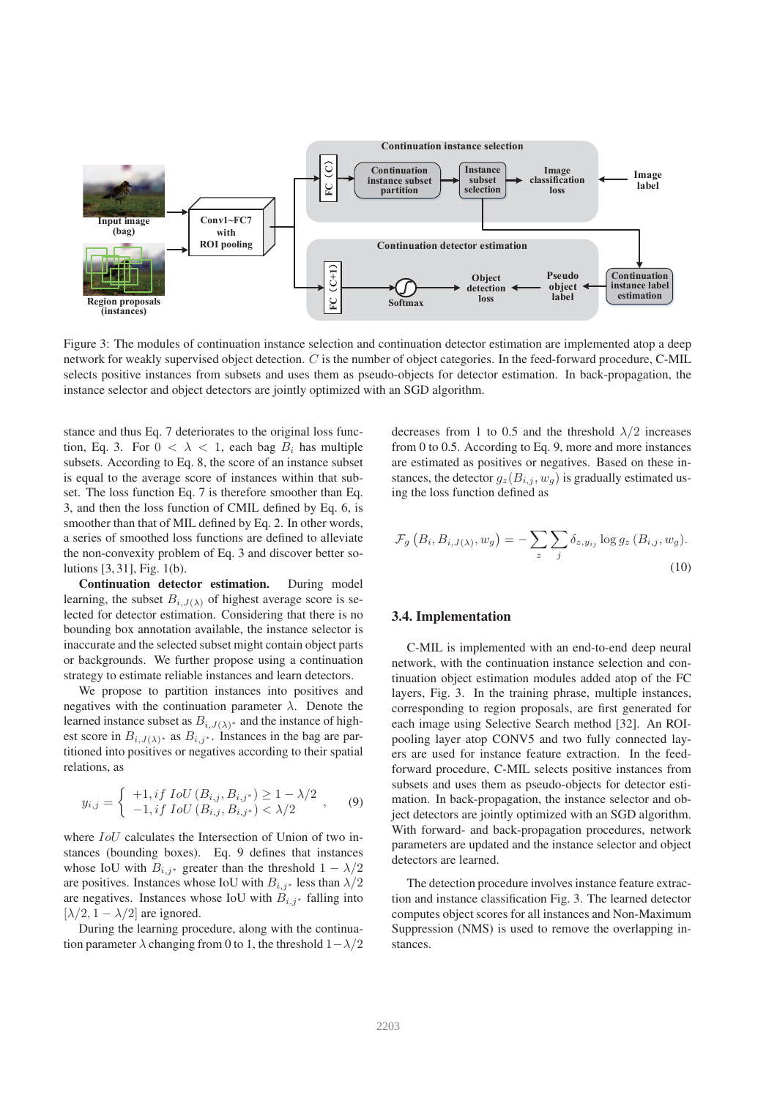

Figure 3: The modules of continuation instance selection and continuation detector estimation are implemented atop a deep network for weakly supervised object detection. C is the number of object categories. In the feed-forward procedure, C-MIL selects positive instances from subsets and uses them as pseudo-objects for detector estimation. In back-propagation, the instance selector and object detectors are jointly optimized with an SGD algorithm.

stance and thus Eq. 7 deteriorates to the original loss function, Eq. 3. For  $0 < \lambda < 1$ , each bag  $B_i$  has multiple subsets. According to Eq. 8, the score of an instance subset is equal to the average score of instances within that subset. The loss function Eq. 7 is therefore smoother than Eq. 3, and then the loss function of CMIL defined by Eq. 6, is smoother than that of MIL defined by Eq. 2. In other words, a series of smoothed loss functions are defined to alleviate the non-convexity problem of Eq. 3 and discover better solutions [3, 31], Fig. 1(b).

Continuation detector estimation. During model learning, the subset  $B_{i,J(\lambda)}$  of highest average score is selected for detector estimation. Considering that there is no bounding box annotation available, the instance selector is inaccurate and the selected subset might contain object parts or backgrounds. We further propose using a continuation strategy to estimate reliable instances and learn detectors.

We propose to partition instances into positives and negatives with the continuation parameter  $\lambda$ . Denote the learned instance subset as  $B_{i,J(\lambda)}$  and the instance of highest score in  $B_{i,J(\lambda)}$ <sup>\*</sup> as  $B_{i,j}$ <sup>\*</sup>. Instances in the bag are partitioned into positives or negatives according to their spatial relations, as

$$
y_{i,j} = \begin{cases} +1, if \ IoU(B_{i,j}, B_{i,j^*}) \ge 1 - \lambda/2 \\ -1, if \ IoU(B_{i,j}, B_{i,j^*}) < \lambda/2 \end{cases}, \quad (9)
$$

where  $IoU$  calculates the Intersection of Union of two instances (bounding boxes). Eq. 9 defines that instances whose IoU with  $B_{i,j^*}$  greater than the threshold  $1 - \lambda/2$ are positives. Instances whose IoU with  $B_{i,j^*}$  less than  $\lambda/2$ are negatives. Instances whose IoU with  $B_{i,j^*}$  falling into  $[\lambda/2, 1 - \lambda/2]$  are ignored.

During the learning procedure, along with the continuation parameter  $\lambda$  changing from 0 to 1, the threshold  $1-\lambda/2$  decreases from 1 to 0.5 and the threshold  $\lambda/2$  increases from 0 to 0.5. According to Eq. 9, more and more instances are estimated as positives or negatives. Based on these instances, the detector  $g_z(B_{i,j}, w_q)$  is gradually estimated using the loss function defined as

$$
\mathcal{F}_g\left(B_i, B_{i,J(\lambda)}, w_g\right) = -\sum_z \sum_j \delta_{z,y_{ij}} \log g_z\left(B_{i,j}, w_g\right).
$$
\n(10)

## 3.4. Implementation

C-MIL is implemented with an end-to-end deep neural network, with the continuation instance selection and continuation object estimation modules added atop of the FC layers, Fig. 3. In the training phrase, multiple instances, corresponding to region proposals, are first generated for each image using Selective Search method [32]. An ROIpooling layer atop CONV5 and two fully connected layers are used for instance feature extraction. In the feedforward procedure, C-MIL selects positive instances from subsets and uses them as pseudo-objects for detector estimation. In back-propagation, the instance selector and object detectors are jointly optimized with an SGD algorithm. With forward- and back-propagation procedures, network parameters are updated and the instance selector and object detectors are learned.

The detection procedure involves instance feature extraction and instance classification Fig. 3. The learned detector computes object scores for all instances and Non-Maximum Suppression (NMS) is used to remove the overlapping instances.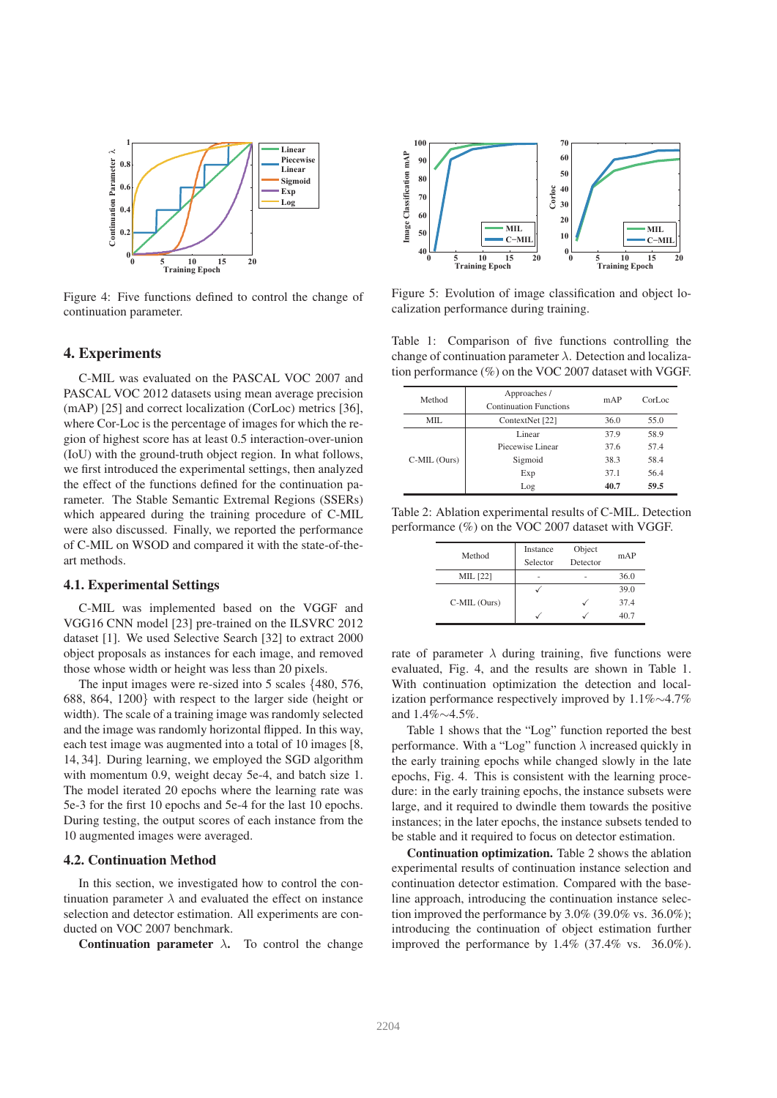

Figure 4: Five functions defined to control the change of continuation parameter.

## 4. Experiments

C-MIL was evaluated on the PASCAL VOC 2007 and PASCAL VOC 2012 datasets using mean average precision (mAP) [25] and correct localization (CorLoc) metrics [36], where Cor-Loc is the percentage of images for which the region of highest score has at least 0.5 interaction-over-union (IoU) with the ground-truth object region. In what follows, we first introduced the experimental settings, then analyzed the effect of the functions defined for the continuation parameter. The Stable Semantic Extremal Regions (SSERs) which appeared during the training procedure of C-MIL were also discussed. Finally, we reported the performance of C-MIL on WSOD and compared it with the state-of-theart methods.

#### 4.1. Experimental Settings

C-MIL was implemented based on the VGGF and VGG16 CNN model [23] pre-trained on the ILSVRC 2012 dataset [1]. We used Selective Search [32] to extract 2000 object proposals as instances for each image, and removed those whose width or height was less than 20 pixels.

The input images were re-sized into 5 scales {480, 576, 688, 864, 1200} with respect to the larger side (height or width). The scale of a training image was randomly selected and the image was randomly horizontal flipped. In this way, each test image was augmented into a total of 10 images [8, 14, 34]. During learning, we employed the SGD algorithm with momentum 0.9, weight decay 5e-4, and batch size 1. The model iterated 20 epochs where the learning rate was 5e-3 for the first 10 epochs and 5e-4 for the last 10 epochs. During testing, the output scores of each instance from the 10 augmented images were averaged.

#### 4.2. Continuation Method

In this section, we investigated how to control the continuation parameter  $\lambda$  and evaluated the effect on instance selection and detector estimation. All experiments are conducted on VOC 2007 benchmark.

Continuation parameter  $\lambda$ . To control the change



Figure 5: Evolution of image classification and object localization performance during training.

Table 1: Comparison of five functions controlling the change of continuation parameter  $\lambda$ . Detection and localization performance (%) on the VOC 2007 dataset with VGGF.

| Method       | Approaches /<br><b>Continuation Functions</b> | mAP  | CorLoc |
|--------------|-----------------------------------------------|------|--------|
| MIL.         | ContextNet [22]                               | 36.0 | 55.0   |
| C-MIL (Ours) | Linear                                        | 37.9 | 58.9   |
|              | Piecewise Linear                              | 37.6 | 57.4   |
|              | Sigmoid                                       | 38.3 | 58.4   |
|              | Exp                                           | 37.1 | 56.4   |
|              | Log                                           | 40.7 | 59.5   |

Table 2: Ablation experimental results of C-MIL. Detection performance (%) on the VOC 2007 dataset with VGGF.

| Method       | Instance | Object   | mAP  |  |
|--------------|----------|----------|------|--|
|              | Selector | Detector |      |  |
| MIL [22]     | ۰        |          | 36.0 |  |
|              |          |          | 39.0 |  |
| C-MIL (Ours) |          |          | 37.4 |  |
|              |          |          | 40.7 |  |

rate of parameter  $\lambda$  during training, five functions were evaluated, Fig. 4, and the results are shown in Table 1. With continuation optimization the detection and localization performance respectively improved by 1.1%∼4.7% and 1.4%∼4.5%.

Table 1 shows that the "Log" function reported the best performance. With a "Log" function  $\lambda$  increased quickly in the early training epochs while changed slowly in the late epochs, Fig. 4. This is consistent with the learning procedure: in the early training epochs, the instance subsets were large, and it required to dwindle them towards the positive instances; in the later epochs, the instance subsets tended to be stable and it required to focus on detector estimation.

Continuation optimization. Table 2 shows the ablation experimental results of continuation instance selection and continuation detector estimation. Compared with the baseline approach, introducing the continuation instance selection improved the performance by 3.0% (39.0% vs. 36.0%); introducing the continuation of object estimation further improved the performance by 1.4% (37.4% vs. 36.0%).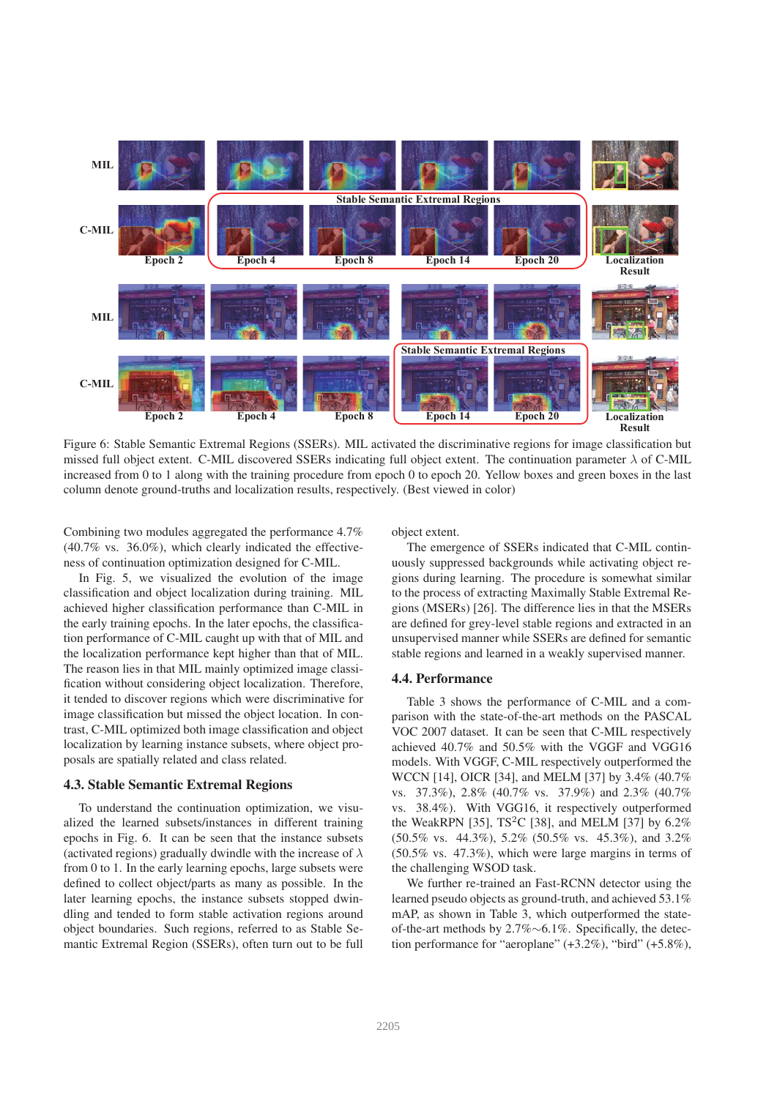

Figure 6: Stable Semantic Extremal Regions (SSERs). MIL activated the discriminative regions for image classification but missed full object extent. C-MIL discovered SSERs indicating full object extent. The continuation parameter  $\lambda$  of C-MIL increased from 0 to 1 along with the training procedure from epoch 0 to epoch 20. Yellow boxes and green boxes in the last column denote ground-truths and localization results, respectively. (Best viewed in color)

Combining two modules aggregated the performance 4.7% (40.7% vs. 36.0%), which clearly indicated the effectiveness of continuation optimization designed for C-MIL.

In Fig. 5, we visualized the evolution of the image classification and object localization during training. MIL achieved higher classification performance than C-MIL in the early training epochs. In the later epochs, the classification performance of C-MIL caught up with that of MIL and the localization performance kept higher than that of MIL. The reason lies in that MIL mainly optimized image classification without considering object localization. Therefore, it tended to discover regions which were discriminative for image classification but missed the object location. In contrast, C-MIL optimized both image classification and object localization by learning instance subsets, where object proposals are spatially related and class related.

#### 4.3. Stable Semantic Extremal Regions

To understand the continuation optimization, we visualized the learned subsets/instances in different training epochs in Fig. 6. It can be seen that the instance subsets (activated regions) gradually dwindle with the increase of  $\lambda$ from 0 to 1. In the early learning epochs, large subsets were defined to collect object/parts as many as possible. In the later learning epochs, the instance subsets stopped dwindling and tended to form stable activation regions around object boundaries. Such regions, referred to as Stable Semantic Extremal Region (SSERs), often turn out to be full object extent.

The emergence of SSERs indicated that C-MIL continuously suppressed backgrounds while activating object regions during learning. The procedure is somewhat similar to the process of extracting Maximally Stable Extremal Regions (MSERs) [26]. The difference lies in that the MSERs are defined for grey-level stable regions and extracted in an unsupervised manner while SSERs are defined for semantic stable regions and learned in a weakly supervised manner.

#### 4.4. Performance

Table 3 shows the performance of C-MIL and a comparison with the state-of-the-art methods on the PASCAL VOC 2007 dataset. It can be seen that C-MIL respectively achieved 40.7% and 50.5% with the VGGF and VGG16 models. With VGGF, C-MIL respectively outperformed the WCCN [14], OICR [34], and MELM [37] by 3.4% (40.7% vs. 37.3%), 2.8% (40.7% vs. 37.9%) and 2.3% (40.7% vs. 38.4%). With VGG16, it respectively outperformed the WeakRPN [35],  $TS^2C$  [38], and MELM [37] by 6.2% (50.5% vs. 44.3%), 5.2% (50.5% vs. 45.3%), and 3.2% (50.5% vs. 47.3%), which were large margins in terms of the challenging WSOD task.

We further re-trained an Fast-RCNN detector using the learned pseudo objects as ground-truth, and achieved 53.1% mAP, as shown in Table 3, which outperformed the stateof-the-art methods by 2.7%∼6.1%. Specifically, the detection performance for "aeroplane" (+3.2%), "bird" (+5.8%),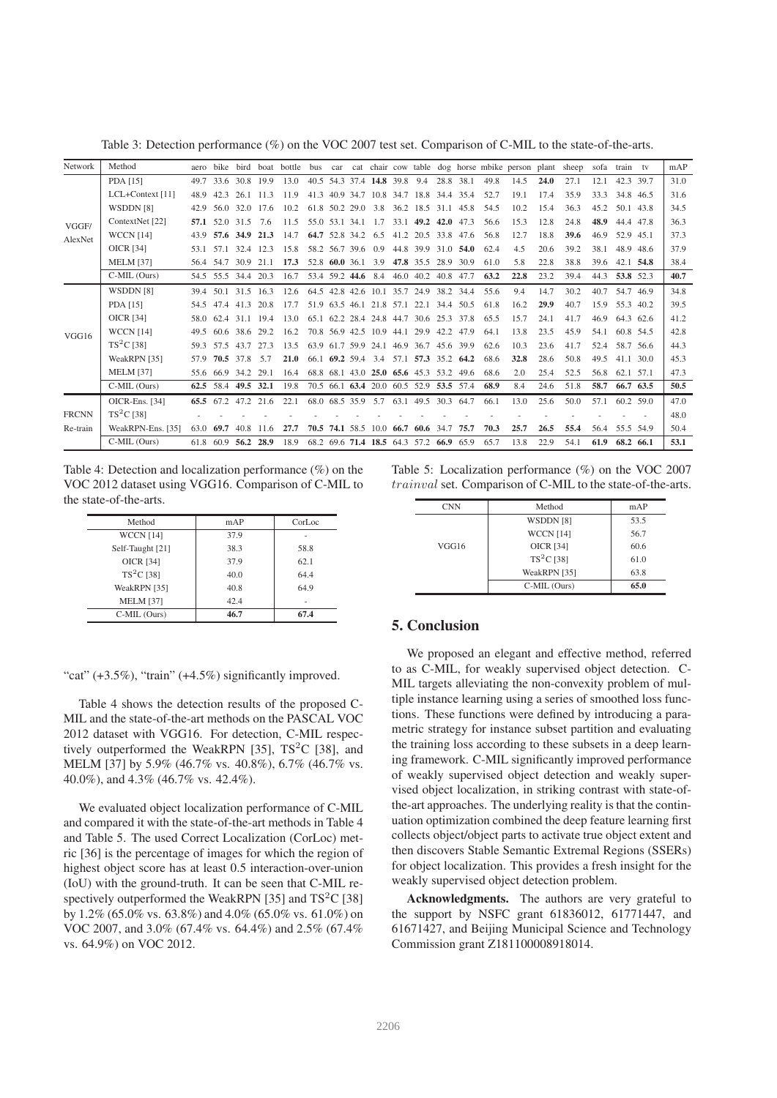Table 3: Detection performance (%) on the VOC 2007 test set. Comparison of C-MIL to the state-of-the-arts.

| Network      | Method            | aero      | <b>bike</b>         |           |           | bird boat bottle | bus                |                |                    |                               |                                         |           |                     |      | car cat chair cow table dog horse mbike person plant sheep |      |      |      | sofa train tv     | mAP  |
|--------------|-------------------|-----------|---------------------|-----------|-----------|------------------|--------------------|----------------|--------------------|-------------------------------|-----------------------------------------|-----------|---------------------|------|------------------------------------------------------------|------|------|------|-------------------|------|
|              | PDA [15]          | 49.7      |                     | 33.6 30.8 | 199       | 13.0             |                    |                |                    | 40.5 54.3 37.4 14.8 39.8 9.4  |                                         |           | 28.8 38.1           | 49.8 | 14.5                                                       | 24.0 | 27.1 | 12.1 | 42.3 39.7         | 31.0 |
|              | LCL+Context [11]  | 48.9      | 42.3                | 26.1      | 11.3      | 11.9             |                    |                |                    |                               | 41.3 40.9 34.7 10.8 34.7 18.8 34.4 35.4 |           |                     | 52.7 | 19.1                                                       | 17.4 | 35.9 | 33.3 | 34.8 46.5         | 31.6 |
|              | WSDDN [8]         | 42.9      | 56.0                | 32.0      | 17.6      | 10.2             | 61.8 50.2 29.0     |                |                    | 3.8                           | 36.2 18.5 31.1                          |           | 45.8                | 54.5 | 10.2                                                       | 15.4 | 36.3 | 45.2 | 50.1 43.8         | 34.5 |
| VGGF/        | ContextNet [22]   | 57.1      | 52.0                | 31.5      | 7.6       | 11.5             |                    |                | 55.0 53.1 34.1 1.7 |                               | 33.1 49.2                               | 42.0      | 47.3                | 56.6 | 15.3                                                       | 12.8 | 24.8 | 48.9 | 44.4 47.8         | 36.3 |
| AlexNet      | <b>WCCN</b> [14]  | 43.9      |                     | 57.6 34.9 | 21.3      | 14.7             | 64.7 52.8 34.2     |                |                    | 6.5                           | 41.2 20.5 33.8 47.6                     |           |                     | 56.8 | 12.7                                                       | 18.8 | 39.6 | 46.9 | 52.9 45.1         | 37.3 |
|              | OICR [34]         |           | 53.1 57.1 32.4      |           | 12.3      | 15.8             | 58.2 56.7 39.6 0.9 |                |                    |                               |                                         |           | 44.8 39.9 31.0 54.0 | 62.4 | 4.5                                                        | 20.6 | 39.2 | 38.1 | 48.9 48.6         | 37.9 |
|              | <b>MELM</b> [37]  | 56.4 54.7 |                     | 30.9      | 21.1      | 17.3             |                    | 52.8 60.0 36.1 |                    | 3.9                           | 47.8 35.5                               | 28.9      | 30.9                | 61.0 | 5.8                                                        | 22.8 | 38.8 | 39.6 | 42.1 54.8         | 38.4 |
|              | C-MIL (Ours)      |           | 54.5 55.5 34.4 20.3 |           |           | 16.7             |                    |                | 53.4 59.2 44.6     | 8.4                           | 46.0 40.2                               |           | 40.8 47.7           | 63.2 | 22.8                                                       | 23.2 | 39.4 | 44.3 | 53.8 52.3         | 40.7 |
|              | WSDDN [8]         |           | 39.4 50.1 31.5      |           | 16.3      | 12.6             |                    |                |                    |                               | 64.5 42.8 42.6 10.1 35.7 24.9 38.2 34.4 |           |                     | 55.6 | 9.4                                                        | 14.7 | 30.2 | 40.7 | 54.7 46.9         | 34.8 |
|              | PDA [15]          | 54.5      | 47.4 41.3           |           | 20.8      | 17.7             |                    |                |                    |                               | 51.9 63.5 46.1 21.8 57.1 22.1 34.4 50.5 |           |                     | 61.8 | 16.2                                                       | 29.9 | 40.7 | 15.9 | 55.3 40.2         | 39.5 |
|              | <b>OICR [34]</b>  | 58.0      | 62.4                | 311       | 194       | 13.0             |                    |                |                    |                               | 65.1 62.2 28.4 24.8 44.7 30.6 25.3      |           | 37.8                | 65.5 | 15.7                                                       | 24.1 | 41.7 | 46.9 | 64.3 62.6         | 41.2 |
| VGG16        | <b>WCCN</b> [14]  | 49.5      |                     | 60.6 38.6 | 29.2      | 16.2             |                    |                |                    | 70.8 56.9 42.5 10.9 44.1 29.9 |                                         | 42.2 47.9 |                     | 64.1 | 13.8                                                       | 23.5 | 45.9 | 54.1 | 60.8 54.5         | 42.8 |
|              | $TS^2C$ [38]      | 59.3      | 575                 | 437       | 27.3      | 13.5             |                    |                |                    | 63.9 61.7 59.9 24.1 46.9 36.7 |                                         |           | 45.6 39.9           | 62.6 | 10.3                                                       | 23.6 | 41.7 | 52.4 | 58.7 56.6         | 44.3 |
|              | WeakRPN [35]      | 57.9      |                     | 70.5 37.8 | 5.7       | 21.0             |                    |                |                    | 66.1 69.2 59.4 3.4            | 57.1 57.3 35.2 64.2                     |           |                     | 68.6 | 32.8                                                       | 28.6 | 50.8 | 49.5 | $41.1 \quad 30.0$ | 45.3 |
|              | <b>MELM [37]</b>  |           | 55.6 66.9           | 34.2      | 29.1      | 16.4             |                    |                |                    |                               | 68.8 68.1 43.0 25.0 65.6 45.3 53.2      |           | 49.6                | 68.6 | 2.0                                                        | 25.4 | 52.5 | 56.8 | 62.1 57.1         | 47.3 |
|              | $C-MIL$ (Ours)    |           | 62.5 58.4           | 49.5 32.1 |           | 19.8             |                    |                |                    |                               | 70.5 66.1 63.4 20.0 60.5 52.9 53.5 57.4 |           |                     | 68.9 | 8.4                                                        | 24.6 | 51.8 | 58.7 | 66.7 63.5         | 50.5 |
|              | OICR-Ens. [34]    |           | 65.5 67.2 47.2 21.6 |           |           | 22.1             |                    |                |                    | 68.0 68.5 35.9 5.7            | 63.1 49.5 30.3 64.7                     |           |                     | 66.1 | 13.0                                                       | 25.6 | 50.0 | 57.1 | 60.2, 59.0        | 47.0 |
| <b>FRCNN</b> | $TS^2C$ [38]      |           |                     |           |           |                  |                    |                |                    |                               |                                         |           |                     |      |                                                            |      |      |      |                   | 48.0 |
| Re-train     | WeakRPN-Ens. [35] | 63.0      | -69.7               | 40.8      | 11.6      | 27.7             |                    |                |                    |                               | 70.5 74.1 58.5 10.0 66.7 60.6 34.7      |           | 75.7                | 70.3 | 25.7                                                       | 26.5 | 55.4 | 56.4 | 55.5 54.9         | 50.4 |
|              | C-MIL (Ours)      |           | 61.8 60.9           |           | 56.2 28.9 | 18.9             |                    |                |                    |                               | 68.2 69.6 71.4 18.5 64.3 57.2 66.9 65.9 |           |                     | 65.7 | 13.8                                                       | 22.9 | 54.1 | 61.9 | 68.2 66.1         | 53.1 |

Table 4: Detection and localization performance (%) on the VOC 2012 dataset using VGG16. Comparison of C-MIL to the state-of-the-arts.

| Method           | mAP  | CorLoc |  |  |
|------------------|------|--------|--|--|
| <b>WCCN</b> [14] | 37.9 |        |  |  |
| Self-Taught [21] | 38.3 | 58.8   |  |  |
| <b>OICR [34]</b> | 37.9 | 62.1   |  |  |
| $TS^2C$ [38]     | 40.0 | 64.4   |  |  |
| WeakRPN [35]     | 40.8 | 64.9   |  |  |
| <b>MELM [37]</b> | 42.4 |        |  |  |
| $C-MIL$ (Ours)   | 46.7 | 67.4   |  |  |

"cat"  $(+3.5\%)$ , "train"  $(+4.5\%)$  significantly improved.

Table 4 shows the detection results of the proposed C-MIL and the state-of-the-art methods on the PASCAL VOC 2012 dataset with VGG16. For detection, C-MIL respectively outperformed the WeakRPN [35],  $TS<sup>2</sup>C$  [38], and MELM [37] by 5.9% (46.7% vs. 40.8%), 6.7% (46.7% vs. 40.0%), and 4.3% (46.7% vs. 42.4%).

We evaluated object localization performance of C-MIL and compared it with the state-of-the-art methods in Table 4 and Table 5. The used Correct Localization (CorLoc) metric [36] is the percentage of images for which the region of highest object score has at least 0.5 interaction-over-union (IoU) with the ground-truth. It can be seen that C-MIL respectively outperformed the WeakRPN [35] and  $TS<sup>2</sup>C$  [38] by 1.2% (65.0% vs. 63.8%) and 4.0% (65.0% vs. 61.0%) on VOC 2007, and 3.0% (67.4% vs. 64.4%) and 2.5% (67.4% vs. 64.9%) on VOC 2012.

Table 5: Localization performance (%) on the VOC 2007 trainval set. Comparison of C-MIL to the state-of-the-arts.

| <b>CNN</b> | Method           | mAP  |
|------------|------------------|------|
|            | WSDDN [8]        | 53.5 |
|            | <b>WCCN</b> [14] | 56.7 |
| VGG16      | <b>OICR</b> [34] | 60.6 |
|            | $TS2C$ [38]      | 61.0 |
|            | WeakRPN [35]     | 63.8 |
|            | $C-MIL$ (Ours)   | 65.0 |

## 5. Conclusion

We proposed an elegant and effective method, referred to as C-MIL, for weakly supervised object detection. C-MIL targets alleviating the non-convexity problem of multiple instance learning using a series of smoothed loss functions. These functions were defined by introducing a parametric strategy for instance subset partition and evaluating the training loss according to these subsets in a deep learning framework. C-MIL significantly improved performance of weakly supervised object detection and weakly supervised object localization, in striking contrast with state-ofthe-art approaches. The underlying reality is that the continuation optimization combined the deep feature learning first collects object/object parts to activate true object extent and then discovers Stable Semantic Extremal Regions (SSERs) for object localization. This provides a fresh insight for the weakly supervised object detection problem.

Acknowledgments. The authors are very grateful to the support by NSFC grant 61836012, 61771447, and 61671427, and Beijing Municipal Science and Technology Commission grant Z181100008918014.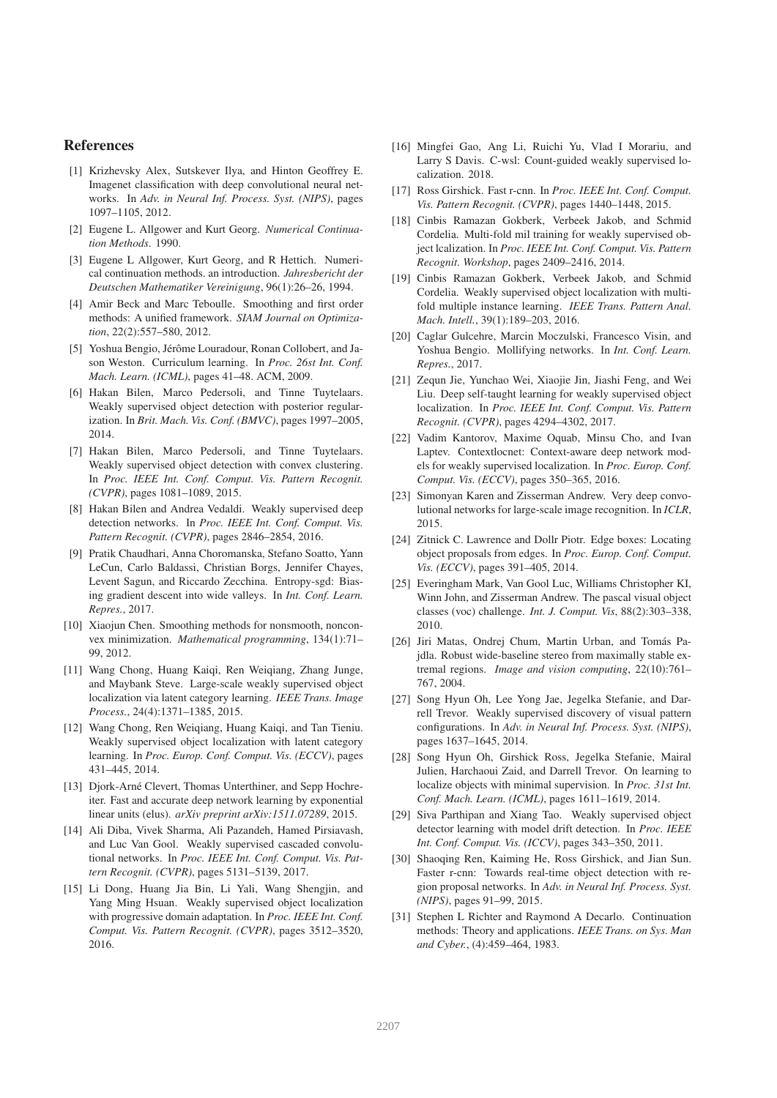#### References

- [1] Krizhevsky Alex, Sutskever Ilya, and Hinton Geoffrey E. Imagenet classification with deep convolutional neural networks. In *Adv. in Neural Inf. Process. Syst. (NIPS)*, pages 1097–1105, 2012.
- [2] Eugene L. Allgower and Kurt Georg. *Numerical Continuation Methods*. 1990.
- [3] Eugene L Allgower, Kurt Georg, and R Hettich. Numerical continuation methods. an introduction. *Jahresbericht der Deutschen Mathematiker Vereinigung*, 96(1):26–26, 1994.
- [4] Amir Beck and Marc Teboulle. Smoothing and first order methods: A unified framework. *SIAM Journal on Optimization*, 22(2):557–580, 2012.
- [5] Yoshua Bengio, Jérôme Louradour, Ronan Collobert, and Jason Weston. Curriculum learning. In *Proc. 26st Int. Conf. Mach. Learn. (ICML)*, pages 41–48. ACM, 2009.
- [6] Hakan Bilen, Marco Pedersoli, and Tinne Tuytelaars. Weakly supervised object detection with posterior regularization. In *Brit. Mach. Vis. Conf. (BMVC)*, pages 1997–2005, 2014.
- [7] Hakan Bilen, Marco Pedersoli, and Tinne Tuytelaars. Weakly supervised object detection with convex clustering. In *Proc. IEEE Int. Conf. Comput. Vis. Pattern Recognit. (CVPR)*, pages 1081–1089, 2015.
- [8] Hakan Bilen and Andrea Vedaldi. Weakly supervised deep detection networks. In *Proc. IEEE Int. Conf. Comput. Vis. Pattern Recognit. (CVPR)*, pages 2846–2854, 2016.
- [9] Pratik Chaudhari, Anna Choromanska, Stefano Soatto, Yann LeCun, Carlo Baldassi, Christian Borgs, Jennifer Chayes, Levent Sagun, and Riccardo Zecchina. Entropy-sgd: Biasing gradient descent into wide valleys. In *Int. Conf. Learn. Repres.*, 2017.
- [10] Xiaojun Chen. Smoothing methods for nonsmooth, nonconvex minimization. *Mathematical programming*, 134(1):71– 99, 2012.
- [11] Wang Chong, Huang Kaiqi, Ren Weiqiang, Zhang Junge, and Maybank Steve. Large-scale weakly supervised object localization via latent category learning. *IEEE Trans. Image Process.*, 24(4):1371–1385, 2015.
- [12] Wang Chong, Ren Weiqiang, Huang Kaiqi, and Tan Tieniu. Weakly supervised object localization with latent category learning. In *Proc. Europ. Conf. Comput. Vis. (ECCV)*, pages 431–445, 2014.
- [13] Djork-Arné Clevert, Thomas Unterthiner, and Sepp Hochreiter. Fast and accurate deep network learning by exponential linear units (elus). *arXiv preprint arXiv:1511.07289*, 2015.
- [14] Ali Diba, Vivek Sharma, Ali Pazandeh, Hamed Pirsiavash, and Luc Van Gool. Weakly supervised cascaded convolutional networks. In *Proc. IEEE Int. Conf. Comput. Vis. Pattern Recognit. (CVPR)*, pages 5131–5139, 2017.
- [15] Li Dong, Huang Jia Bin, Li Yali, Wang Shengjin, and Yang Ming Hsuan. Weakly supervised object localization with progressive domain adaptation. In *Proc. IEEE Int. Conf. Comput. Vis. Pattern Recognit. (CVPR)*, pages 3512–3520, 2016.
- [16] Mingfei Gao, Ang Li, Ruichi Yu, Vlad I Morariu, and Larry S Davis. C-wsl: Count-guided weakly supervised localization. 2018.
- [17] Ross Girshick. Fast r-cnn. In *Proc. IEEE Int. Conf. Comput. Vis. Pattern Recognit. (CVPR)*, pages 1440–1448, 2015.
- [18] Cinbis Ramazan Gokberk, Verbeek Jakob, and Schmid Cordelia. Multi-fold mil training for weakly supervised object lcalization. In *Proc. IEEE Int. Conf. Comput. Vis. Pattern Recognit. Workshop*, pages 2409–2416, 2014.
- [19] Cinbis Ramazan Gokberk, Verbeek Jakob, and Schmid Cordelia. Weakly supervised object localization with multifold multiple instance learning. *IEEE Trans. Pattern Anal. Mach. Intell.*, 39(1):189–203, 2016.
- [20] Caglar Gulcehre, Marcin Moczulski, Francesco Visin, and Yoshua Bengio. Mollifying networks. In *Int. Conf. Learn. Repres.*, 2017.
- [21] Zequn Jie, Yunchao Wei, Xiaojie Jin, Jiashi Feng, and Wei Liu. Deep self-taught learning for weakly supervised object localization. In *Proc. IEEE Int. Conf. Comput. Vis. Pattern Recognit. (CVPR)*, pages 4294–4302, 2017.
- [22] Vadim Kantorov, Maxime Oquab, Minsu Cho, and Ivan Laptev. Contextlocnet: Context-aware deep network models for weakly supervised localization. In *Proc. Europ. Conf. Comput. Vis. (ECCV)*, pages 350–365, 2016.
- [23] Simonyan Karen and Zisserman Andrew. Very deep convolutional networks for large-scale image recognition. In *ICLR*, 2015.
- [24] Zitnick C. Lawrence and Dollr Piotr. Edge boxes: Locating object proposals from edges. In *Proc. Europ. Conf. Comput. Vis. (ECCV)*, pages 391–405, 2014.
- [25] Everingham Mark, Van Gool Luc, Williams Christopher KI, Winn John, and Zisserman Andrew. The pascal visual object classes (voc) challenge. *Int. J. Comput. Vis*, 88(2):303–338, 2010.
- [26] Jiri Matas, Ondrej Chum, Martin Urban, and Tomás Pajdla. Robust wide-baseline stereo from maximally stable extremal regions. *Image and vision computing*, 22(10):761– 767, 2004.
- [27] Song Hyun Oh, Lee Yong Jae, Jegelka Stefanie, and Darrell Trevor. Weakly supervised discovery of visual pattern configurations. In *Adv. in Neural Inf. Process. Syst. (NIPS)*, pages 1637–1645, 2014.
- [28] Song Hyun Oh, Girshick Ross, Jegelka Stefanie, Mairal Julien, Harchaoui Zaid, and Darrell Trevor. On learning to localize objects with minimal supervision. In *Proc. 31st Int. Conf. Mach. Learn. (ICML)*, pages 1611–1619, 2014.
- [29] Siva Parthipan and Xiang Tao. Weakly supervised object detector learning with model drift detection. In *Proc. IEEE Int. Conf. Comput. Vis. (ICCV)*, pages 343–350, 2011.
- [30] Shaoqing Ren, Kaiming He, Ross Girshick, and Jian Sun. Faster r-cnn: Towards real-time object detection with region proposal networks. In *Adv. in Neural Inf. Process. Syst. (NIPS)*, pages 91–99, 2015.
- [31] Stephen L Richter and Raymond A Decarlo. Continuation methods: Theory and applications. *IEEE Trans. on Sys. Man and Cyber.*, (4):459–464, 1983.